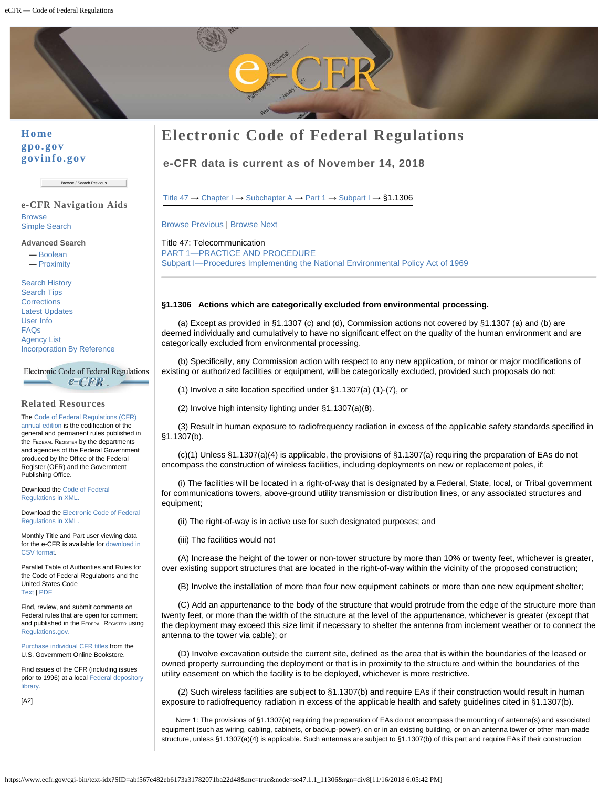

## **[Home](http://www.ecfr.gov/) [gpo.gov](http://www.gpo.gov/) [govinfo.gov](http://www.govinfo.gov/)**

Browse / Search Previous

#### **e-CFR Navigation Aids [Browse](https://www.ecfr.gov/cgi-bin/ECFR?SID=ceb3e29d50b7100f4852d131a678b9a1&mc=true&page=browse)** [Simple Search](https://www.ecfr.gov/cgi-bin/ECFR?SID=ceb3e29d50b7100f4852d131a678b9a1&mc=true&page=simple)

**Advanced Search** — [Boolean](https://www.ecfr.gov/cgi-bin/ECFR?SID=ceb3e29d50b7100f4852d131a678b9a1&mc=true&page=boolean)

— [Proximity](https://www.ecfr.gov/cgi-bin/ECFR?SID=ceb3e29d50b7100f4852d131a678b9a1&mc=true&page=proximity)

[Search History](https://www.ecfr.gov/cgi-bin/historyECFR?SID=ceb3e29d50b7100f4852d131a678b9a1&mc=true) [Search Tips](https://www.ecfr.gov/cgi-bin/ECFR?SID=ceb3e29d50b7100f4852d131a678b9a1&mc=true&page=searchtips) **[Corrections](https://www.ecfr.gov/cgi-bin/text-idx?SID=ceb3e29d50b7100f4852d131a678b9a1&mc=true&tpl=/correctionspage.tpl)** [Latest Updates](https://www.ecfr.gov/cgi-bin/text-idx?SID=ceb3e29d50b7100f4852d131a678b9a1&mc=true&tpl=/update.tpl) [User Info](https://www.ecfr.gov/cgi-bin/ECFR?SID=ceb3e29d50b7100f4852d131a678b9a1&mc=true&page=userinfo) [FAQs](https://www.ecfr.gov/cgi-bin/ECFR?SID=ceb3e29d50b7100f4852d131a678b9a1&mc=true&page=faq) [Agency List](https://www.ecfr.gov/cgi-bin/text-idx?SID=ceb3e29d50b7100f4852d131a678b9a1&mc=true&tpl=/agencylist.tpl) [Incorporation By Reference](https://www.ecfr.gov/cgi-bin/text-idx?SID=ceb3e29d50b7100f4852d131a678b9a1&mc=true&tpl=/ibr.tpl)

Electronic Code of Federal Regulations  $e$ - $CFR$ 

## **Related Resources**

The [Code of Federal Regulations \(CFR\)](http://www.gpo.gov/fdsys/browse/collectionCfr.action?collectionCode=CFR) [annual edition](http://www.gpo.gov/fdsys/browse/collectionCfr.action?collectionCode=CFR) is the codification of the general and permanent rules published in the FEDERAL REGISTER by the departments and agencies of the Federal Government produced by the Office of the Federal Register (OFR) and the Government Publishing Office.

Download the [Code of Federal](http://www.gpo.gov/fdsys/bulkdata/CFR) [Regulations in XML.](http://www.gpo.gov/fdsys/bulkdata/CFR)

Download the [Electronic Code of Federal](https://www.gpo.gov/fdsys/bulkdata/ECFR) [Regulations in XML.](https://www.gpo.gov/fdsys/bulkdata/ECFR)

Monthly Title and Part user viewing data for the e-CFR is available for [download in](https://www.ecfr.gov/cgi-bin/ECFR?SID=ceb3e29d50b7100f4852d131a678b9a1&mc=true&page=userinfo#stats) [CSV format](https://www.ecfr.gov/cgi-bin/ECFR?SID=ceb3e29d50b7100f4852d131a678b9a1&mc=true&page=userinfo#stats).

Parallel Table of Authorities and Rules for the Code of Federal Regulations and the United States Code [Text](http://www.gpo.gov/help/parallel_table.txt) | [PDF](http://www.gpo.gov/help/parallel_table.pdf)

Find, review, and submit comments on Federal rules that are open for comment and published in the FEDERAL REGISTER using [Regulations.gov.](http://www.regulations.gov/)

[Purchase individual CFR titles](https://bookstore.gpo.gov/catalog/laws-regulations/code-federal-regulations-cfrs-print) from the U.S. Government Online Bookstore.

Find issues of the CFR (including issues prior to 1996) at a local [Federal depository](http://catalog.gpo.gov/fdlpdir/FDLPdir.jsp) **library** 

[A2]

# **Electronic Code of Federal Regulations**

**e-CFR data is current as of November 14, 2018**

[Title 47](https://www.ecfr.gov/cgi-bin/text-idx?gp=&SID=ceb3e29d50b7100f4852d131a678b9a1&mc=true&tpl=/ecfrbrowse/Title47/47tab_02.tpl) → [Chapter I](https://www.ecfr.gov/cgi-bin/text-idx?gp=&SID=ceb3e29d50b7100f4852d131a678b9a1&mc=true&tpl=/ecfrbrowse/Title47/47chapterI.tpl) → [Subchapter A](https://www.ecfr.gov/cgi-bin/text-idx?gp=&SID=ceb3e29d50b7100f4852d131a678b9a1&mc=true&tpl=/ecfrbrowse/Title47/47CIsubchapA.tpl) → [Part 1](https://www.ecfr.gov/cgi-bin/retrieveECFR?gp=&SID=ceb3e29d50b7100f4852d131a678b9a1&mc=true&n=pt47.1.1&r=PART&ty=HTML) → [Subpart I](https://www.ecfr.gov/cgi-bin/retrieveECFR?gp=&SID=ceb3e29d50b7100f4852d131a678b9a1&mc=true&n=sp47.1.1.i&r=SUBPART&ty=HTML) →  $§1.1306$ 

[Browse Previous](https://www.ecfr.gov/cgi-bin/retrieveECFR?gp=&SID=ceb3e29d50b7100f4852d131a678b9a1&mc=true&r=SECTION&n=se47.1.1_11305) | [Browse Next](https://www.ecfr.gov/cgi-bin/retrieveECFR?gp=&SID=ceb3e29d50b7100f4852d131a678b9a1&mc=true&r=SECTION&n=se47.1.1_11307)

Title 47: Telecommunication [PART 1—PRACTICE AND PROCEDURE](https://www.ecfr.gov/cgi-bin/retrieveECFR?gp=&SID=ceb3e29d50b7100f4852d131a678b9a1&mc=true&n=pt47.1.1&r=PART&ty=HTML) [Subpart I—Procedures Implementing the National Environmental Policy Act of 1969](https://www.ecfr.gov/cgi-bin/retrieveECFR?gp=&SID=ceb3e29d50b7100f4852d131a678b9a1&mc=true&n=sp47.1.1.i&r=SUBPART&ty=HTML)

#### **§1.1306 Actions which are categorically excluded from environmental processing.**

(a) Except as provided in §1.1307 (c) and (d), Commission actions not covered by §1.1307 (a) and (b) are deemed individually and cumulatively to have no significant effect on the quality of the human environment and are categorically excluded from environmental processing.

(b) Specifically, any Commission action with respect to any new application, or minor or major modifications of existing or authorized facilities or equipment, will be categorically excluded, provided such proposals do not:

(1) Involve a site location specified under §1.1307(a) (1)-(7), or

(2) Involve high intensity lighting under §1.1307(a)(8).

(3) Result in human exposure to radiofrequency radiation in excess of the applicable safety standards specified in §1.1307(b).

(c)(1) Unless §1.1307(a)(4) is applicable, the provisions of §1.1307(a) requiring the preparation of EAs do not encompass the construction of wireless facilities, including deployments on new or replacement poles, if:

(i) The facilities will be located in a right-of-way that is designated by a Federal, State, local, or Tribal government for communications towers, above-ground utility transmission or distribution lines, or any associated structures and equipment;

(ii) The right-of-way is in active use for such designated purposes; and

(iii) The facilities would not

(A) Increase the height of the tower or non-tower structure by more than 10% or twenty feet, whichever is greater, over existing support structures that are located in the right-of-way within the vicinity of the proposed construction;

(B) Involve the installation of more than four new equipment cabinets or more than one new equipment shelter;

(C) Add an appurtenance to the body of the structure that would protrude from the edge of the structure more than twenty feet, or more than the width of the structure at the level of the appurtenance, whichever is greater (except that the deployment may exceed this size limit if necessary to shelter the antenna from inclement weather or to connect the antenna to the tower via cable); or

(D) Involve excavation outside the current site, defined as the area that is within the boundaries of the leased or owned property surrounding the deployment or that is in proximity to the structure and within the boundaries of the utility easement on which the facility is to be deployed, whichever is more restrictive.

(2) Such wireless facilities are subject to §1.1307(b) and require EAs if their construction would result in human exposure to radiofrequency radiation in excess of the applicable health and safety guidelines cited in §1.1307(b).

NOTE 1: The provisions of §1.1307(a) requiring the preparation of EAs do not encompass the mounting of antenna(s) and associated equipment (such as wiring, cabling, cabinets, or backup-power), on or in an existing building, or on an antenna tower or other man-made structure, unless §1.1307(a)(4) is applicable. Such antennas are subject to §1.1307(b) of this part and require EAs if their construction